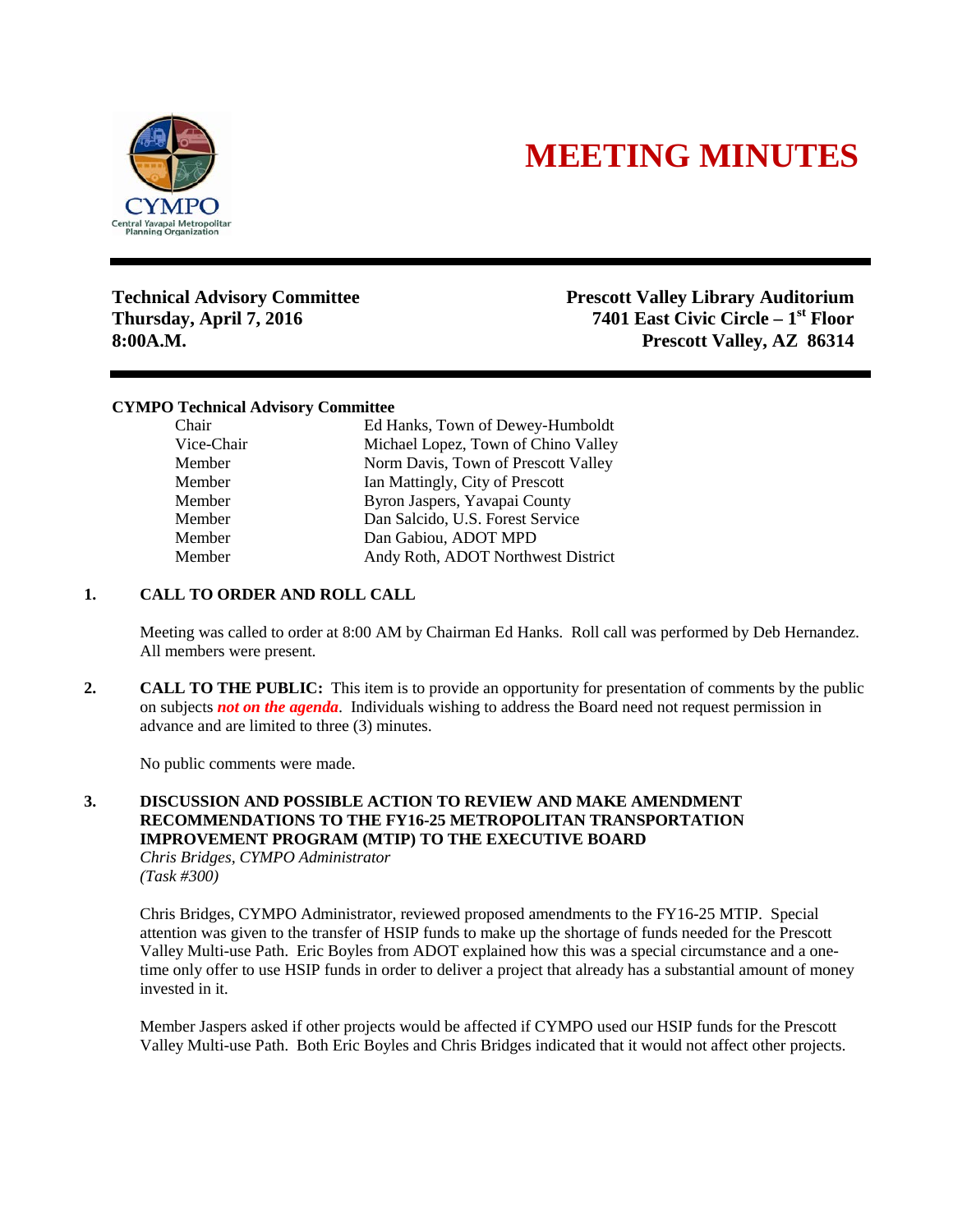

# **MEETING MINUTES**

**Technical Advisory Committee Prescott Valley Library Auditorium Thursday, April 7, 2016 7401 East Civic Circle – 1st Floor 8:00A.M. Prescott Valley, AZ 86314**

## **CYMPO Technical Advisory Committee**

| Chair      | Ed Hanks, Town of Dewey-Humboldt    |
|------------|-------------------------------------|
| Vice-Chair | Michael Lopez, Town of Chino Valley |
| Member     | Norm Davis, Town of Prescott Valley |
| Member     | Ian Mattingly, City of Prescott     |
| Member     | Byron Jaspers, Yavapai County       |
| Member     | Dan Salcido, U.S. Forest Service    |
| Member     | Dan Gabiou, ADOT MPD                |
| Member     | Andy Roth, ADOT Northwest District  |

## **1. CALL TO ORDER AND ROLL CALL**

Meeting was called to order at 8:00 AM by Chairman Ed Hanks. Roll call was performed by Deb Hernandez. All members were present.

**2. CALL TO THE PUBLIC:** This item is to provide an opportunity for presentation of comments by the public on subjects *not on the agenda*. Individuals wishing to address the Board need not request permission in advance and are limited to three (3) minutes.

No public comments were made.

#### **3. DISCUSSION AND POSSIBLE ACTION TO REVIEW AND MAKE AMENDMENT RECOMMENDATIONS TO THE FY16-25 METROPOLITAN TRANSPORTATION IMPROVEMENT PROGRAM (MTIP) TO THE EXECUTIVE BOARD** *Chris Bridges, CYMPO Administrator*

*(Task #300)*

Chris Bridges, CYMPO Administrator, reviewed proposed amendments to the FY16-25 MTIP. Special attention was given to the transfer of HSIP funds to make up the shortage of funds needed for the Prescott Valley Multi-use Path. Eric Boyles from ADOT explained how this was a special circumstance and a onetime only offer to use HSIP funds in order to deliver a project that already has a substantial amount of money invested in it.

Member Jaspers asked if other projects would be affected if CYMPO used our HSIP funds for the Prescott Valley Multi-use Path. Both Eric Boyles and Chris Bridges indicated that it would not affect other projects.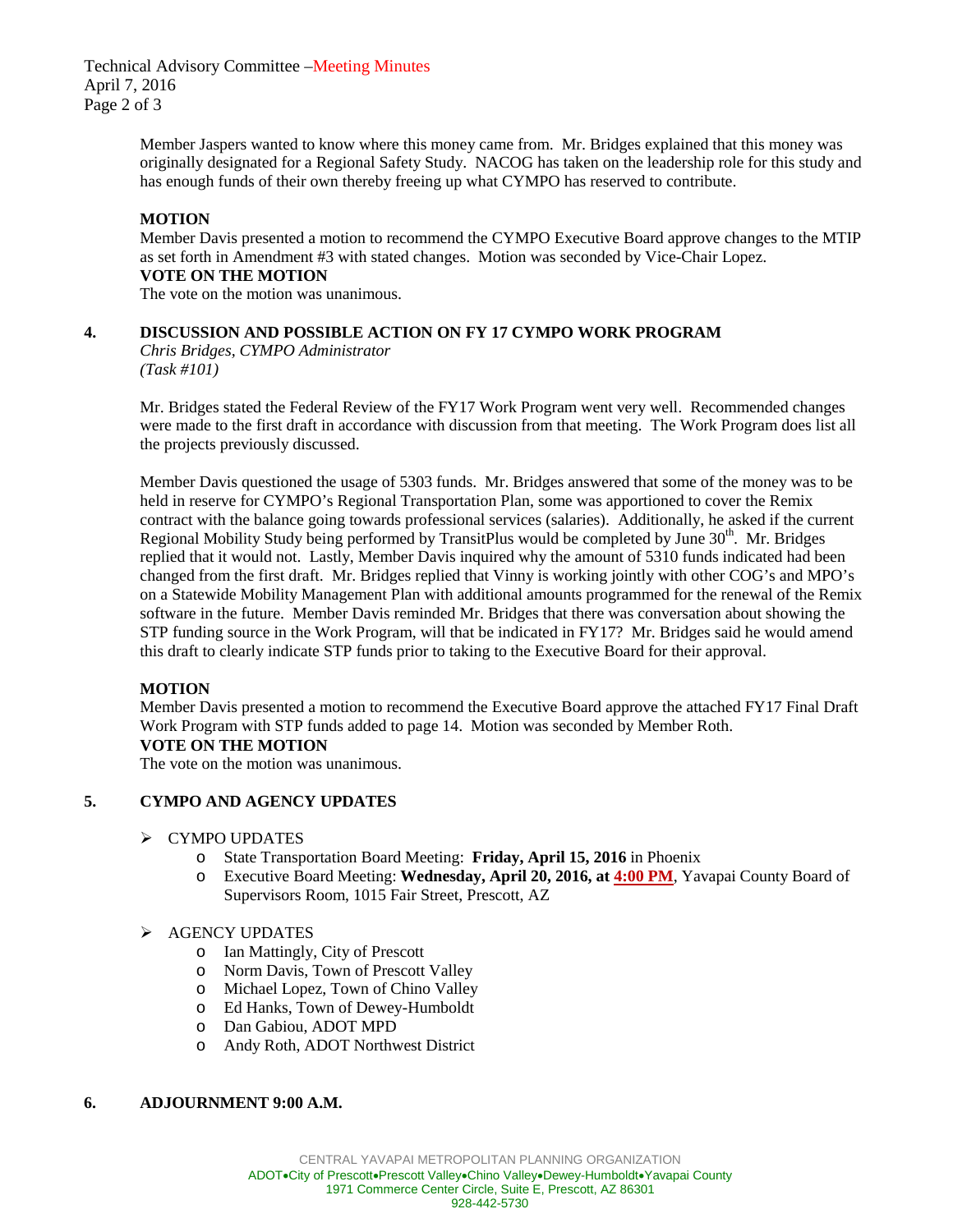Technical Advisory Committee –Meeting Minutes April 7, 2016 Page 2 of 3

> Member Jaspers wanted to know where this money came from. Mr. Bridges explained that this money was originally designated for a Regional Safety Study. NACOG has taken on the leadership role for this study and has enough funds of their own thereby freeing up what CYMPO has reserved to contribute.

# **MOTION**

Member Davis presented a motion to recommend the CYMPO Executive Board approve changes to the MTIP as set forth in Amendment #3 with stated changes. Motion was seconded by Vice-Chair Lopez. **VOTE ON THE MOTION**

The vote on the motion was unanimous.

# **4. DISCUSSION AND POSSIBLE ACTION ON FY 17 CYMPO WORK PROGRAM**

*Chris Bridges, CYMPO Administrator (Task #101)*

Mr. Bridges stated the Federal Review of the FY17 Work Program went very well. Recommended changes were made to the first draft in accordance with discussion from that meeting. The Work Program does list all the projects previously discussed.

Member Davis questioned the usage of 5303 funds. Mr. Bridges answered that some of the money was to be held in reserve for CYMPO's Regional Transportation Plan, some was apportioned to cover the Remix contract with the balance going towards professional services (salaries). Additionally, he asked if the current Regional Mobility Study being performed by TransitPlus would be completed by June  $30<sup>th</sup>$ . Mr. Bridges replied that it would not. Lastly, Member Davis inquired why the amount of 5310 funds indicated had been changed from the first draft. Mr. Bridges replied that Vinny is working jointly with other COG's and MPO's on a Statewide Mobility Management Plan with additional amounts programmed for the renewal of the Remix software in the future. Member Davis reminded Mr. Bridges that there was conversation about showing the STP funding source in the Work Program, will that be indicated in FY17? Mr. Bridges said he would amend this draft to clearly indicate STP funds prior to taking to the Executive Board for their approval.

# **MOTION**

Member Davis presented a motion to recommend the Executive Board approve the attached FY17 Final Draft Work Program with STP funds added to page 14. Motion was seconded by Member Roth. **VOTE ON THE MOTION**

The vote on the motion was unanimous.

# **5. CYMPO AND AGENCY UPDATES**

# $\triangleright$  CYMPO UPDATES

- o State Transportation Board Meeting: **Friday, April 15, 2016** in Phoenix
- Executive Board Meeting: Wednesday, April 20, 2016, at 4:00 PM, Yavapai County Board of Supervisors Room, 1015 Fair Street, Prescott, AZ
- $\triangleright$  AGENCY UPDATES
	- o Ian Mattingly, City of Prescott
	- o Norm Davis, Town of Prescott Valley
	- o Michael Lopez, Town of Chino Valley
	- o Ed Hanks, Town of Dewey-Humboldt
	- Dan Gabiou, ADOT MPD
	- o Andy Roth, ADOT Northwest District

# **6. ADJOURNMENT 9:00 A.M.**